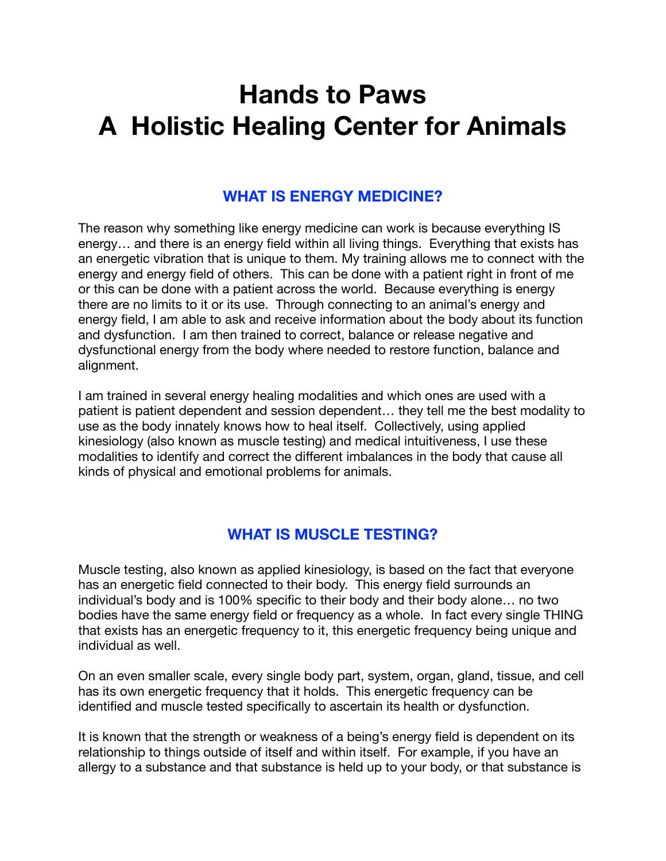# **Hands to Paws A Holistic Healing Center for Animals**

#### **WHAT IS ENERGY MEDICINE?**

The reason why something like energy medicine can work is because everything IS energy… and there is an energy field within all living things. Everything that exists has an energetic vibration that is unique to them. My training allows me to connect with the energy and energy field of others. This can be done with a patient right in front of me or this can be done with a patient across the world. Because everything is energy there are no limits to it or its use. Through connecting to an animal's energy and energy field, I am able to ask and receive information about the body about its function and dysfunction. I am then trained to correct, balance or release negative and dysfunctional energy from the body where needed to restore function, balance and alignment.

I am trained in several energy healing modalities and which ones are used with a patient is patient dependent and session dependent… they tell me the best modality to use as the body innately knows how to heal itself. Collectively, using applied kinesiology (also known as muscle testing) and medical intuitiveness, I use these modalities to identify and correct the different imbalances in the body that cause all kinds of physical and emotional problems for animals.

### **WHAT IS MUSCLE TESTING?**

Muscle testing, also known as applied kinesiology, is based on the fact that everyone has an energetic field connected to their body. This energy field surrounds an individual's body and is 100% specific to their body and their body alone… no two bodies have the same energy field or frequency as a whole. In fact every single THING that exists has an energetic frequency to it, this energetic frequency being unique and individual as well.

On an even smaller scale, every single body part, system, organ, gland, tissue, and cell has its own energetic frequency that it holds. This energetic frequency can be identified and muscle tested specifically to ascertain its health or dysfunction.

It is known that the strength or weakness of a being's energy field is dependent on its relationship to things outside of itself and within itself. For example, if you have an allergy to a substance and that substance is held up to your body, or that substance is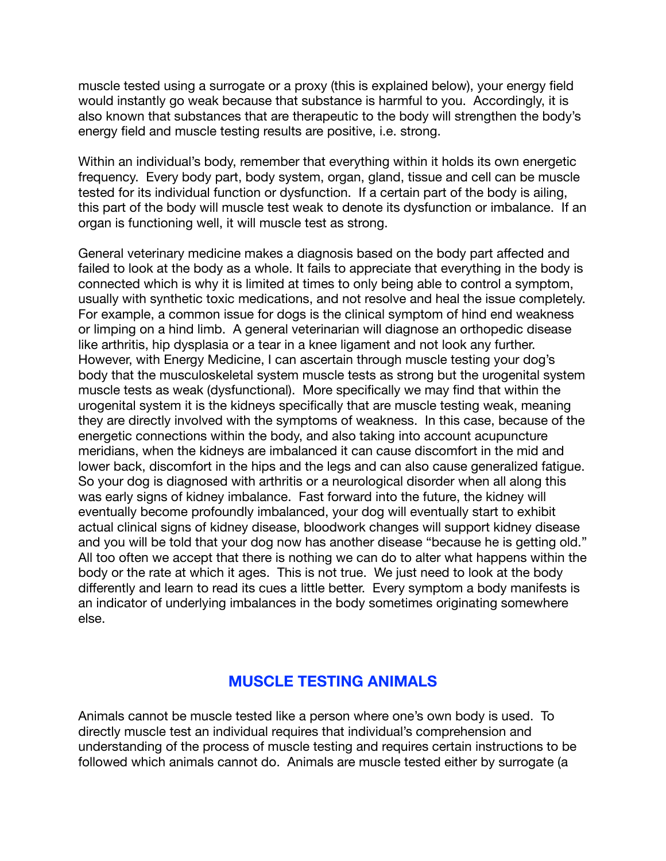muscle tested using a surrogate or a proxy (this is explained below), your energy field would instantly go weak because that substance is harmful to you. Accordingly, it is also known that substances that are therapeutic to the body will strengthen the body's energy field and muscle testing results are positive, i.e. strong.

Within an individual's body, remember that everything within it holds its own energetic frequency. Every body part, body system, organ, gland, tissue and cell can be muscle tested for its individual function or dysfunction. If a certain part of the body is ailing, this part of the body will muscle test weak to denote its dysfunction or imbalance. If an organ is functioning well, it will muscle test as strong.

General veterinary medicine makes a diagnosis based on the body part affected and failed to look at the body as a whole. It fails to appreciate that everything in the body is connected which is why it is limited at times to only being able to control a symptom, usually with synthetic toxic medications, and not resolve and heal the issue completely. For example, a common issue for dogs is the clinical symptom of hind end weakness or limping on a hind limb. A general veterinarian will diagnose an orthopedic disease like arthritis, hip dysplasia or a tear in a knee ligament and not look any further. However, with Energy Medicine, I can ascertain through muscle testing your dog's body that the musculoskeletal system muscle tests as strong but the urogenital system muscle tests as weak (dysfunctional). More specifically we may find that within the urogenital system it is the kidneys specifically that are muscle testing weak, meaning they are directly involved with the symptoms of weakness. In this case, because of the energetic connections within the body, and also taking into account acupuncture meridians, when the kidneys are imbalanced it can cause discomfort in the mid and lower back, discomfort in the hips and the legs and can also cause generalized fatigue. So your dog is diagnosed with arthritis or a neurological disorder when all along this was early signs of kidney imbalance. Fast forward into the future, the kidney will eventually become profoundly imbalanced, your dog will eventually start to exhibit actual clinical signs of kidney disease, bloodwork changes will support kidney disease and you will be told that your dog now has another disease "because he is getting old." All too often we accept that there is nothing we can do to alter what happens within the body or the rate at which it ages. This is not true. We just need to look at the body differently and learn to read its cues a little better. Every symptom a body manifests is an indicator of underlying imbalances in the body sometimes originating somewhere else.

### **MUSCLE TESTING ANIMALS**

Animals cannot be muscle tested like a person where one's own body is used. To directly muscle test an individual requires that individual's comprehension and understanding of the process of muscle testing and requires certain instructions to be followed which animals cannot do. Animals are muscle tested either by surrogate (a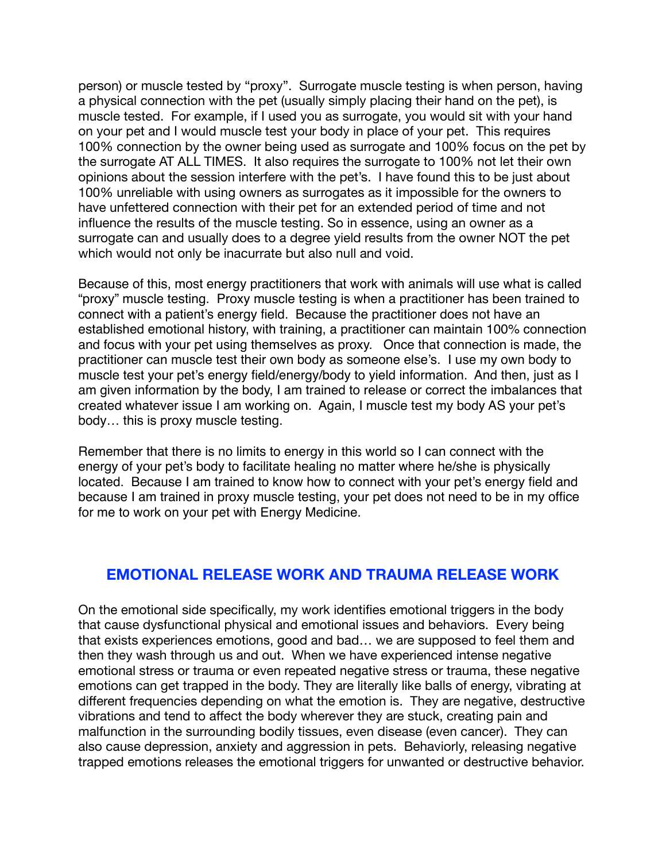person) or muscle tested by "proxy". Surrogate muscle testing is when person, having a physical connection with the pet (usually simply placing their hand on the pet), is muscle tested. For example, if I used you as surrogate, you would sit with your hand on your pet and I would muscle test your body in place of your pet. This requires 100% connection by the owner being used as surrogate and 100% focus on the pet by the surrogate AT ALL TIMES. It also requires the surrogate to 100% not let their own opinions about the session interfere with the pet's. I have found this to be just about 100% unreliable with using owners as surrogates as it impossible for the owners to have unfettered connection with their pet for an extended period of time and not influence the results of the muscle testing. So in essence, using an owner as a surrogate can and usually does to a degree yield results from the owner NOT the pet which would not only be inacurrate but also null and void.

Because of this, most energy practitioners that work with animals will use what is called "proxy" muscle testing. Proxy muscle testing is when a practitioner has been trained to connect with a patient's energy field. Because the practitioner does not have an established emotional history, with training, a practitioner can maintain 100% connection and focus with your pet using themselves as proxy. Once that connection is made, the practitioner can muscle test their own body as someone else's. I use my own body to muscle test your pet's energy field/energy/body to yield information. And then, just as I am given information by the body, I am trained to release or correct the imbalances that created whatever issue I am working on. Again, I muscle test my body AS your pet's body… this is proxy muscle testing.

Remember that there is no limits to energy in this world so I can connect with the energy of your pet's body to facilitate healing no matter where he/she is physically located. Because I am trained to know how to connect with your pet's energy field and because I am trained in proxy muscle testing, your pet does not need to be in my office for me to work on your pet with Energy Medicine.

#### **EMOTIONAL RELEASE WORK AND TRAUMA RELEASE WORK**

On the emotional side specifically, my work identifies emotional triggers in the body that cause dysfunctional physical and emotional issues and behaviors. Every being that exists experiences emotions, good and bad… we are supposed to feel them and then they wash through us and out. When we have experienced intense negative emotional stress or trauma or even repeated negative stress or trauma, these negative emotions can get trapped in the body. They are literally like balls of energy, vibrating at different frequencies depending on what the emotion is. They are negative, destructive vibrations and tend to affect the body wherever they are stuck, creating pain and malfunction in the surrounding bodily tissues, even disease (even cancer). They can also cause depression, anxiety and aggression in pets. Behaviorly, releasing negative trapped emotions releases the emotional triggers for unwanted or destructive behavior.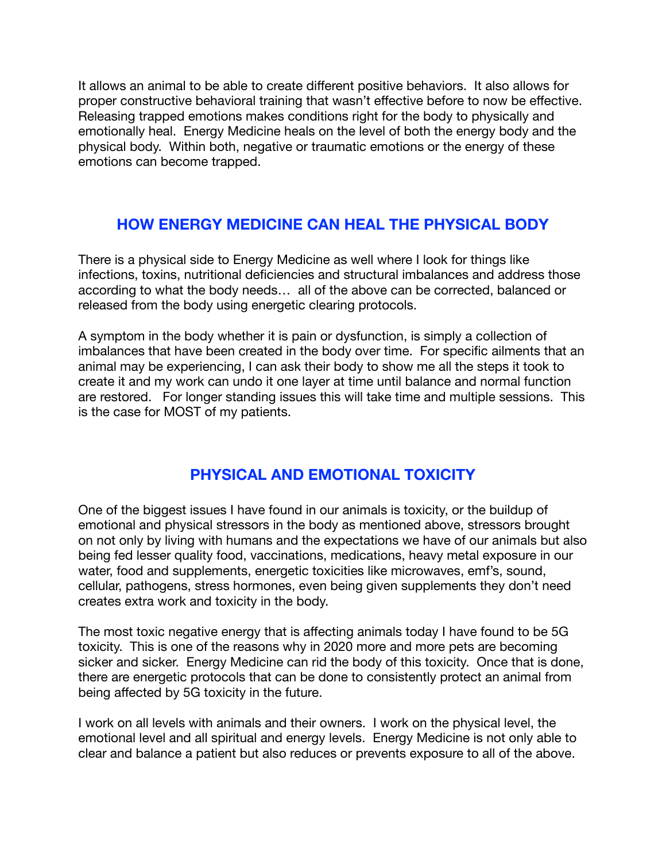It allows an animal to be able to create different positive behaviors. It also allows for proper constructive behavioral training that wasn't effective before to now be effective. Releasing trapped emotions makes conditions right for the body to physically and emotionally heal. Energy Medicine heals on the level of both the energy body and the physical body. Within both, negative or traumatic emotions or the energy of these emotions can become trapped.

## **HOW ENERGY MEDICINE CAN HEAL THE PHYSICAL BODY**

There is a physical side to Energy Medicine as well where I look for things like infections, toxins, nutritional deficiencies and structural imbalances and address those according to what the body needs… all of the above can be corrected, balanced or released from the body using energetic clearing protocols.

A symptom in the body whether it is pain or dysfunction, is simply a collection of imbalances that have been created in the body over time. For specific ailments that an animal may be experiencing, I can ask their body to show me all the steps it took to create it and my work can undo it one layer at time until balance and normal function are restored. For longer standing issues this will take time and multiple sessions. This is the case for MOST of my patients.

## **PHYSICAL AND EMOTIONAL TOXICITY**

One of the biggest issues I have found in our animals is toxicity, or the buildup of emotional and physical stressors in the body as mentioned above, stressors brought on not only by living with humans and the expectations we have of our animals but also being fed lesser quality food, vaccinations, medications, heavy metal exposure in our water, food and supplements, energetic toxicities like microwaves, emf's, sound, cellular, pathogens, stress hormones, even being given supplements they don't need creates extra work and toxicity in the body.

The most toxic negative energy that is affecting animals today I have found to be 5G toxicity. This is one of the reasons why in 2020 more and more pets are becoming sicker and sicker. Energy Medicine can rid the body of this toxicity. Once that is done, there are energetic protocols that can be done to consistently protect an animal from being affected by 5G toxicity in the future.

I work on all levels with animals and their owners. I work on the physical level, the emotional level and all spiritual and energy levels. Energy Medicine is not only able to clear and balance a patient but also reduces or prevents exposure to all of the above.